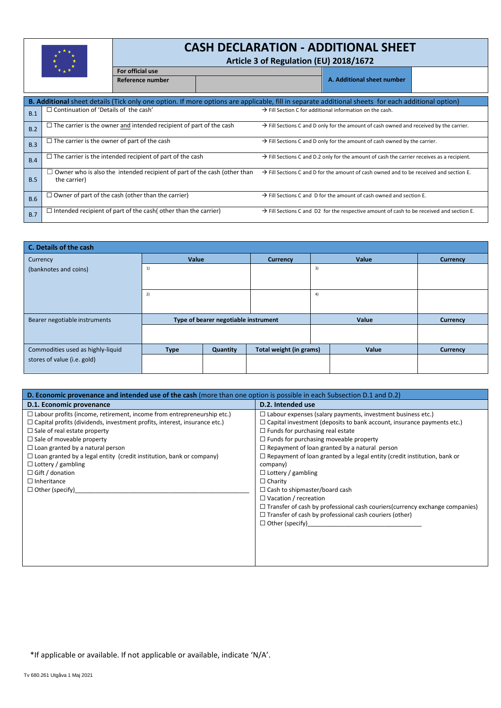

**For official use**

I

# **CASH DECLARATION - ADDITIONAL SHEET**

**Article 3 of Regulation (EU) 2018/1672** 

|            |                                                                                                                                                          | Reference number                                                       |  |                                                                                                        | A. Additional sheet number                                                                           |  |  |  |  |  |
|------------|----------------------------------------------------------------------------------------------------------------------------------------------------------|------------------------------------------------------------------------|--|--------------------------------------------------------------------------------------------------------|------------------------------------------------------------------------------------------------------|--|--|--|--|--|
|            | <b>B. Additional</b> sheet details (Tick only one option. If more options are applicable, fill in separate additional sheets for each additional option) |                                                                        |  |                                                                                                        |                                                                                                      |  |  |  |  |  |
| B.1        | $\Box$ Continuation of 'Details of the cash'                                                                                                             |                                                                        |  | $\rightarrow$ Fill Section C for additional information on the cash.                                   |                                                                                                      |  |  |  |  |  |
| B.2        | $\Box$ The carrier is the owner and intended recipient of part of the cash                                                                               |                                                                        |  | $\rightarrow$ Fill Sections C and D only for the amount of cash owned and received by the carrier.     |                                                                                                      |  |  |  |  |  |
| B.3        | $\Box$ The carrier is the owner of part of the cash                                                                                                      |                                                                        |  | $\rightarrow$ Fill Sections C and D only for the amount of cash owned by the carrier.                  |                                                                                                      |  |  |  |  |  |
| B.4        | $\Box$ The carrier is the intended recipient of part of the cash                                                                                         |                                                                        |  | $\rightarrow$ Fill Sections C and D.2 only for the amount of cash the carrier receives as a recipient. |                                                                                                      |  |  |  |  |  |
| B.5        | d Owner who is also the intended recipient of part of the cash (other than<br>the carrier)                                                               |                                                                        |  | $\rightarrow$ Fill Sections C and D for the amount of cash owned and to be received and section E.     |                                                                                                      |  |  |  |  |  |
| <b>B.6</b> |                                                                                                                                                          | $\Box$ Owner of part of the cash (other than the carrier)              |  | $\rightarrow$ Fill Sections C and D for the amount of cash owned and section E.                        |                                                                                                      |  |  |  |  |  |
| B.7        |                                                                                                                                                          | $\Box$ Intended recipient of part of the cash( other than the carrier) |  |                                                                                                        | $\rightarrow$ Fill Sections C and D2 for the respective amount of cash to be received and section E. |  |  |  |  |  |

| C. Details of the cash            |                                      |                 |                         |       |          |                 |  |  |
|-----------------------------------|--------------------------------------|-----------------|-------------------------|-------|----------|-----------------|--|--|
| Currency                          | Value                                | <b>Currency</b> |                         | Value | Currency |                 |  |  |
| (banknotes and coins)             | 1)                                   |                 |                         | 3)    |          |                 |  |  |
|                                   | 2)                                   |                 | 4)                      |       |          |                 |  |  |
| Bearer negotiable instruments     | Type of bearer negotiable instrument |                 |                         |       | Value    | <b>Currency</b> |  |  |
|                                   |                                      |                 |                         |       |          |                 |  |  |
| Commodities used as highly-liquid | <b>Type</b>                          | Quantity        | Total weight (in grams) |       | Value    | Currency        |  |  |
| stores of value (i.e. gold)       |                                      |                 |                         |       |          |                 |  |  |

| D. Economic provenance and intended use of the cash (more than one option is possible in each Subsection D.1 and D.2) |                                                                                     |  |  |  |  |  |
|-----------------------------------------------------------------------------------------------------------------------|-------------------------------------------------------------------------------------|--|--|--|--|--|
| D.1. Economic provenance                                                                                              | D.2. Intended use                                                                   |  |  |  |  |  |
| $\square$ Labour profits (income, retirement, income from entrepreneurship etc.)                                      | $\Box$ Labour expenses (salary payments, investment business etc.)                  |  |  |  |  |  |
| $\Box$ Capital profits (dividends, investment profits, interest, insurance etc.)                                      | $\Box$ Capital investment (deposits to bank account, insurance payments etc.)       |  |  |  |  |  |
| $\Box$ Sale of real estate property                                                                                   | $\Box$ Funds for purchasing real estate                                             |  |  |  |  |  |
| $\Box$ Sale of moveable property                                                                                      | $\Box$ Funds for purchasing moveable property                                       |  |  |  |  |  |
| $\Box$ Loan granted by a natural person                                                                               | $\Box$ Repayment of loan granted by a natural person                                |  |  |  |  |  |
| $\Box$ Loan granted by a legal entity (credit institution, bank or company)                                           | $\Box$ Repayment of loan granted by a legal entity (credit institution, bank or     |  |  |  |  |  |
| $\Box$ Lottery / gambling                                                                                             | company)                                                                            |  |  |  |  |  |
| $\Box$ Gift / donation                                                                                                | $\Box$ Lottery / gambling                                                           |  |  |  |  |  |
| $\Box$ Inheritance                                                                                                    | $\Box$ Charity                                                                      |  |  |  |  |  |
| $\Box$ Other (specify)                                                                                                | $\Box$ Cash to shipmaster/board cash                                                |  |  |  |  |  |
|                                                                                                                       | $\Box$ Vacation / recreation                                                        |  |  |  |  |  |
|                                                                                                                       | $\Box$ Transfer of cash by professional cash couriers (currency exchange companies) |  |  |  |  |  |
|                                                                                                                       | $\Box$ Transfer of cash by professional cash couriers (other)                       |  |  |  |  |  |
|                                                                                                                       | $\Box$ Other (specify)                                                              |  |  |  |  |  |
|                                                                                                                       |                                                                                     |  |  |  |  |  |
|                                                                                                                       |                                                                                     |  |  |  |  |  |
|                                                                                                                       |                                                                                     |  |  |  |  |  |
|                                                                                                                       |                                                                                     |  |  |  |  |  |
|                                                                                                                       |                                                                                     |  |  |  |  |  |

\*If applicable or available. If not applicable or available, indicate 'N/A'.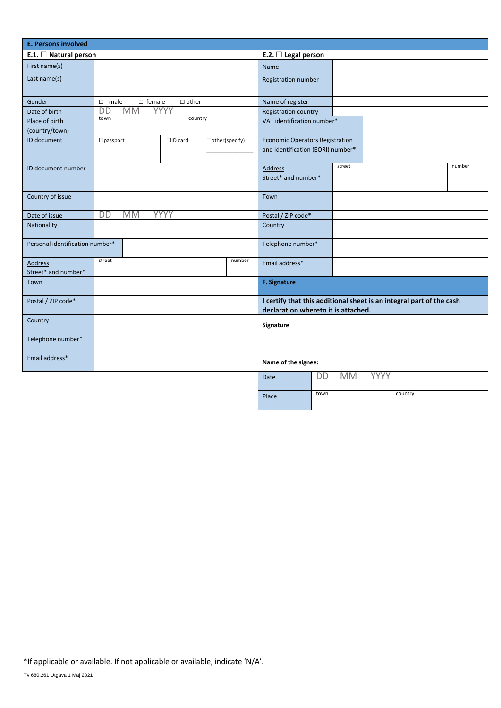| <b>E. Persons involved</b>                      |                                 |              |                                                                                                             |                                       |                                                                             |        |                          |  |         |  |
|-------------------------------------------------|---------------------------------|--------------|-------------------------------------------------------------------------------------------------------------|---------------------------------------|-----------------------------------------------------------------------------|--------|--------------------------|--|---------|--|
| E.1. $\Box$ Natural person                      | E.2. $\Box$ Legal person        |              |                                                                                                             |                                       |                                                                             |        |                          |  |         |  |
| First name(s)                                   |                                 |              |                                                                                                             |                                       | <b>Name</b>                                                                 |        |                          |  |         |  |
| Last name(s)                                    |                                 |              |                                                                                                             |                                       | Registration number                                                         |        |                          |  |         |  |
| Gender                                          | $\square$ male<br>$\Box$ female | $\Box$ other |                                                                                                             |                                       | Name of register                                                            |        |                          |  |         |  |
| <b>DD</b><br><b>MM</b><br>YYYY<br>Date of birth |                                 |              |                                                                                                             |                                       | Registration country                                                        |        |                          |  |         |  |
| Place of birth<br>(country/town)                | town<br>country                 |              |                                                                                                             | VAT identification number*            |                                                                             |        |                          |  |         |  |
| ID document                                     | $\Box$ passport                 |              | $\square$ ID card<br>$\Box$ other(specify)                                                                  |                                       | <b>Economic Operators Registration</b><br>and Identification (EORI) number* |        |                          |  |         |  |
| ID document number                              |                                 |              |                                                                                                             | <b>Address</b><br>Street* and number* |                                                                             | street |                          |  | number  |  |
| Country of issue                                |                                 |              |                                                                                                             | Town                                  |                                                                             |        |                          |  |         |  |
| Date of issue                                   | DD<br><b>MM</b>                 | YYYY         |                                                                                                             |                                       | Postal / ZIP code*                                                          |        |                          |  |         |  |
| Nationality                                     |                                 |              |                                                                                                             |                                       | Country                                                                     |        |                          |  |         |  |
| Personal identification number*                 |                                 |              | Telephone number*                                                                                           |                                       |                                                                             |        |                          |  |         |  |
| <b>Address</b><br>Street* and number*           | street                          |              |                                                                                                             | number                                | Email address*                                                              |        |                          |  |         |  |
| Town                                            |                                 |              |                                                                                                             |                                       | F. Signature                                                                |        |                          |  |         |  |
| Postal / ZIP code*                              |                                 |              | I certify that this additional sheet is an integral part of the cash<br>declaration whereto it is attached. |                                       |                                                                             |        |                          |  |         |  |
| Country                                         |                                 |              |                                                                                                             |                                       | Signature                                                                   |        |                          |  |         |  |
| Telephone number*                               |                                 |              |                                                                                                             |                                       |                                                                             |        |                          |  |         |  |
| Email address*                                  |                                 |              |                                                                                                             |                                       | Name of the signee:                                                         |        |                          |  |         |  |
|                                                 |                                 |              |                                                                                                             |                                       | <b>Date</b>                                                                 | DD     | <b>YYYY</b><br><b>MM</b> |  |         |  |
|                                                 |                                 |              |                                                                                                             |                                       | Place                                                                       | town   |                          |  | country |  |